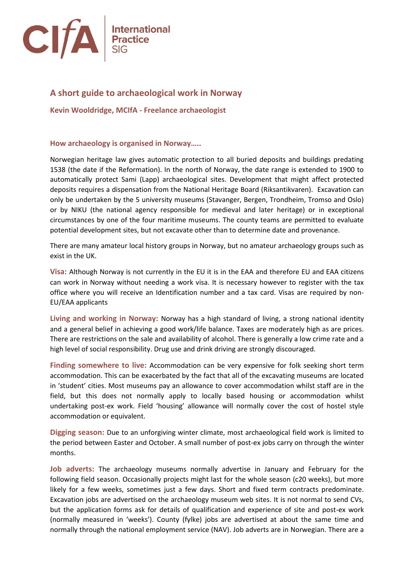

# **A short guide to archaeological work in Norway**

**Kevin Wooldridge, MCIfA - Freelance archaeologist**

### **How archaeology is organised in Norway…..**

Norwegian heritage law gives automatic protection to all buried deposits and buildings predating 1538 (the date if the Reformation). In the north of Norway, the date range is extended to 1900 to automatically protect Sami (Lapp) archaeological sites. Development that might affect protected deposits requires a dispensation from the National Heritage Board (Riksantikvaren). Excavation can only be undertaken by the 5 university museums (Stavanger, Bergen, Trondheim, Tromso and Oslo) or by NIKU (the national agency responsible for medieval and later heritage) or in exceptional circumstances by one of the four maritime museums. The county teams are permitted to evaluate potential development sites, but not excavate other than to determine date and provenance.

There are many amateur local history groups in Norway, but no amateur archaeology groups such as exist in the UK.

**Visa:** Although Norway is not currently in the EU it is in the EAA and therefore EU and EAA citizens can work in Norway without needing a work visa. It is necessary however to register with the tax office where you will receive an Identification number and a tax card. Visas are required by non-EU/EAA applicants

**Living and working in Norway:** Norway has a high standard of living, a strong national identity and a general belief in achieving a good work/life balance. Taxes are moderately high as are prices. There are restrictions on the sale and availability of alcohol. There is generally a low crime rate and a high level of social responsibility. Drug use and drink driving are strongly discouraged.

**Finding somewhere to live:** Accommodation can be very expensive for folk seeking short term accommodation. This can be exacerbated by the fact that all of the excavating museums are located in 'student' cities. Most museums pay an allowance to cover accommodation whilst staff are in the field, but this does not normally apply to locally based housing or accommodation whilst undertaking post-ex work. Field 'housing' allowance will normally cover the cost of hostel style accommodation or equivalent.

**Digging season:** Due to an unforgiving winter climate, most archaeological field work is limited to the period between Easter and October. A small number of post-ex jobs carry on through the winter months.

**Job adverts:** The archaeology museums normally advertise in January and February for the following field season. Occasionally projects might last for the whole season (c20 weeks), but more likely for a few weeks, sometimes just a few days. Short and fixed term contracts predominate. Excavation jobs are advertised on the archaeology museum web sites. It is not normal to send CVs, but the application forms ask for details of qualification and experience of site and post-ex work (normally measured in 'weeks'). County (fylke) jobs are advertised at about the same time and normally through the national employment service (NAV). Job adverts are in Norwegian. There are a